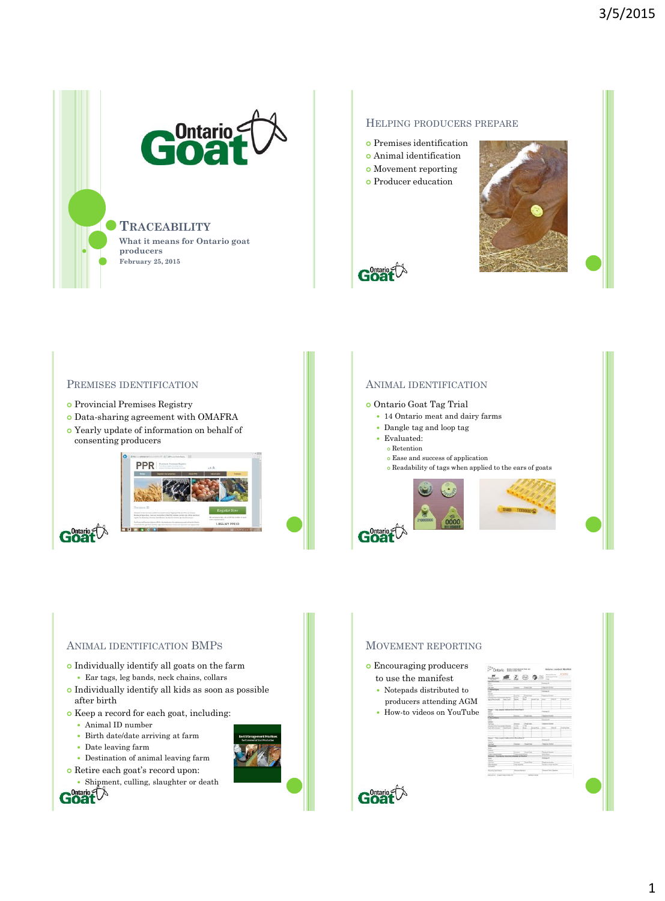

**What it means for Ontario goat producers February 25, 2015**

## HELPING PRODUCERS PREPARE

- Premises identification
- Animal identification
- Movement reporting
- **o** Producer education





## PREMISES IDENTIFICATION

- Provincial Premises Registry
- Data-sharing agreement with OMAFRA
- Yearly update of information on behalf of consenting producers



## ANIMAL IDENTIFICATION

#### Ontario Goat Tag Trial

- 14 Ontario meat and dairy farms
- Dangle tag and loop tag
- Evaluated:
- Retention
	- $\circ$  Ease and success of application  $\bullet$  Readability of tags when applied to the ears of goats



## ANIMAL IDENTIFICATION BMPS

- Individually identify all goats on the farm Ear tags, leg bands, neck chains, collars
- $\bullet$  Individually identify all kids as soon as possible after birth
- Keep a record for each goat, including:
	- Animal ID number
	- Birth date/date arriving at farm
	- Date leaving farm
	- Destination of animal leaving farm
- Retire each goat's record upon:





- to use the manifest
- Notepads distributed to producers attending AGM
- How-to videos on YouTube